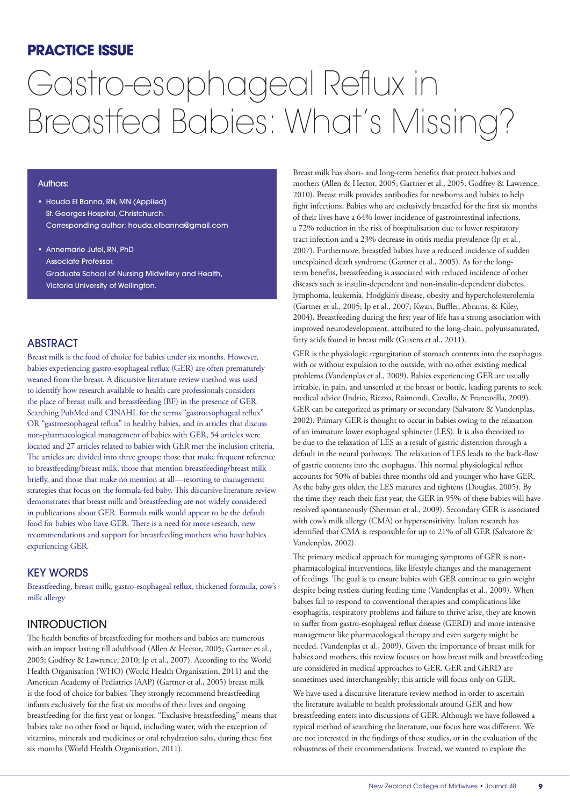## **PRACTICE ISSUE**

# Gastro-esophageal Reflux in Breastfed Babies: What's Missing?

#### Authors:

- Houda El Banna, RN, MN (Applied) St. Georges Hospital, Christchurch. Corresponding author: houda.elbanna@gmail.com
- Annemarie Jutel, RN, PhD Associate Professor, Graduate School of Nursing Midwifery and Health, Victoria University of Wellington.

### ABSTRACT

Breast milk is the food of choice for babies under six months. However, babies experiencing gastro-esophageal reflux (GER) are often prematurely weaned from the breast. A discursive literature review method was used to identify how research available to health care professionals considers the place of breast milk and breastfeeding (BF) in the presence of GER. Searching PubMed and CINAHL for the terms "gastroesophageal reflux" OR "gastroesophageal reflux" in healthy babies, and in articles that discuss non-pharmacological management of babies with GER, 54 articles were located and 27 articles related to babies with GER met the inclusion criteria. The articles are divided into three groups: those that make frequent reference to breastfeeding/breast milk, those that mention breastfeeding/breast milk briefly, and those that make no mention at all—resorting to management strategies that focus on the formula-fed baby. This discursive literature review demonstrates that breast milk and breastfeeding are not widely considered in publications about GER. Formula milk would appear to be the default food for babies who have GER. There is a need for more research, new recommendations and support for breastfeeding mothers who have babies experiencing GER.

#### KEY WORDS

Breastfeeding, breast milk, gastro-esophageal reflux, thickened formula, cow's milk allergy

## **INTRODUCTION**

The health benefits of breastfeeding for mothers and babies are numerous with an impact lasting till adulthood (Allen & Hector, 2005; Gartner et al., 2005; Godfrey & Lawrence, 2010; Ip et al., 2007). According to the World Health Organisation (WHO) (World Health Organisation, 2011) and the American Academy of Pediatrics (AAP) (Gartner et al., 2005) breast milk is the food of choice for babies. They strongly recommend breastfeeding infants exclusively for the first six months of their lives and ongoing breastfeeding for the first year or longer. "Exclusive breastfeeding" means that babies take no other food or liquid, including water, with the exception of vitamins, minerals and medicines or oral rehydration salts, during these first six months (World Health Organisation, 2011).

Breast milk has short- and long-term benefits that protect babies and mothers (Allen & Hector, 2005; Gartner et al., 2005; Godfrey & Lawrence, 2010). Breast milk provides antibodies for newborns and babies to help fight infections. Babies who are exclusively breastfed for the first six months of their lives have a 64% lower incidence of gastrointestinal infections, a 72% reduction in the risk of hospitalisation due to lower respiratory tract infection and a 23% decrease in otitis media prevalence (Ip et al., 2007). Furthermore, breastfed babies have a reduced incidence of sudden unexplained death syndrome (Gartner et al., 2005). As for the longterm benefits, breastfeeding is associated with reduced incidence of other diseases such as insulin-dependent and non-insulin-dependent diabetes, lymphoma, leukemia, Hodgkin's disease, obesity and hypercholesterolemia (Gartner et al., 2005; Ip et al., 2007; Kwan, Buffler, Abrams, & Kiley, 2004). Breastfeeding during the first year of life has a strong association with improved neurodevelopment, attributed to the long-chain, polyunsaturated, fatty acids found in breast milk (Guxens et al., 2011).

GER is the physiologic regurgitation of stomach contents into the esophagus with or without expulsion to the outside, with no other existing medical problems (Vandenplas et al., 2009). Babies experiencing GER are usually irritable, in pain, and unsettled at the breast or bottle, leading parents to seek medical advice (Indrio, Riezzo, Raimondi, Cavallo, & Francavilla, 2009). GER can be categorized as primary or secondary (Salvatore & Vandenplas, 2002). Primary GER is thought to occur in babies owing to the relaxation of an immature lower esophageal sphincter (LES). It is also theorized to be due to the relaxation of LES as a result of gastric distention through a default in the neural pathways. The relaxation of LES leads to the back-flow of gastric contents into the esophagus. This normal physiological reflux accounts for 50% of babies three months old and younger who have GER. As the baby gets older, the LES matures and tightens (Douglas, 2005). By the time they reach their first year, the GER in 95% of these babies will have resolved spontaneously (Sherman et al., 2009). Secondary GER is associated with cow's milk allergy (CMA) or hypersensitivity. Italian research has identified that CMA is responsible for up to 21% of all GER (Salvatore & Vandenplas, 2002).

The primary medical approach for managing symptoms of GER is nonpharmacological interventions, like lifestyle changes and the management of feedings. The goal is to ensure babies with GER continue to gain weight despite being restless during feeding time (Vandenplas et al., 2009). When babies fail to respond to conventional therapies and complications like esophagitis, respiratory problems and failure to thrive arise, they are known to suffer from gastro-esophageal reflux disease (GERD) and more intensive management like pharmacological therapy and even surgery might be needed. (Vandenplas et al., 2009). Given the importance of breast milk for babies and mothers, this review focuses on how breast milk and breastfeeding are considered in medical approaches to GER. GER and GERD are sometimes used interchangeably; this article will focus only on GER.

We have used a discursive literature review method in order to ascertain the literature available to health professionals around GER and how breastfeeding enters into discussions of GER. Although we have followed a typical method of searching the literature, our focus here was different. We are not interested in the findings of these studies, or in the evaluation of the robustness of their recommendations. Instead, we wanted to explore the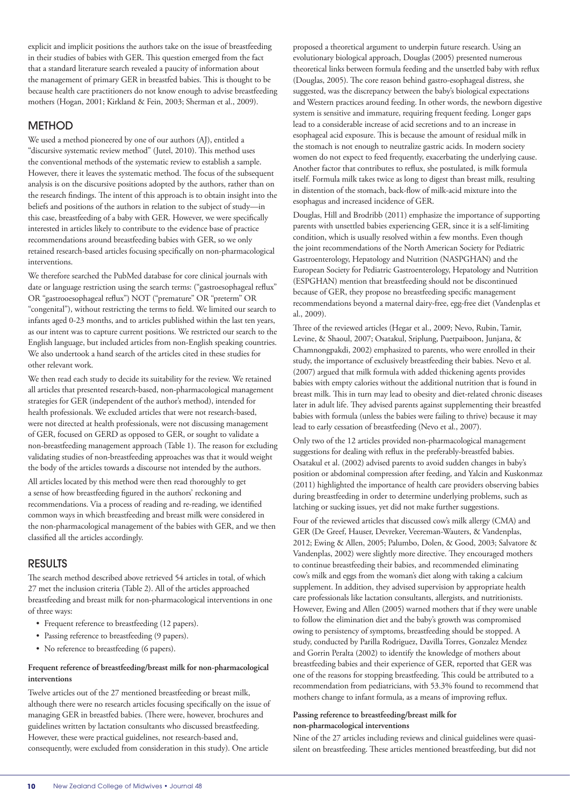explicit and implicit positions the authors take on the issue of breastfeeding in their studies of babies with GER. This question emerged from the fact that a standard literature search revealed a paucity of information about the management of primary GER in breastfed babies. This is thought to be because health care practitioners do not know enough to advise breastfeeding mothers (Hogan, 2001; Kirkland & Fein, 2003; Sherman et al., 2009).

## **METHOD**

We used a method pioneered by one of our authors (AJ), entitled a "discursive systematic review method" (Jutel, 2010). This method uses the conventional methods of the systematic review to establish a sample. However, there it leaves the systematic method. The focus of the subsequent analysis is on the discursive positions adopted by the authors, rather than on the research findings. The intent of this approach is to obtain insight into the beliefs and positions of the authors in relation to the subject of study—in this case, breastfeeding of a baby with GER. However, we were specifically interested in articles likely to contribute to the evidence base of practice recommendations around breastfeeding babies with GER, so we only retained research-based articles focusing specifically on non-pharmacological interventions.

We therefore searched the PubMed database for core clinical journals with date or language restriction using the search terms: ("gastroesophageal reflux" OR "gastrooesophageal reflux") NOT ("premature" OR "preterm" OR "congenital"), without restricting the terms to field. We limited our search to infants aged 0-23 months, and to articles published within the last ten years, as our intent was to capture current positions. We restricted our search to the English language, but included articles from non-English speaking countries. We also undertook a hand search of the articles cited in these studies for other relevant work.

We then read each study to decide its suitability for the review. We retained all articles that presented research-based, non-pharmacological management strategies for GER (independent of the author's method), intended for health professionals. We excluded articles that were not research-based, were not directed at health professionals, were not discussing management of GER, focused on GERD as opposed to GER, or sought to validate a non-breastfeeding management approach (Table 1). The reason for excluding validating studies of non-breastfeeding approaches was that it would weight the body of the articles towards a discourse not intended by the authors.

All articles located by this method were then read thoroughly to get a sense of how breastfeeding figured in the authors' reckoning and recommendations. Via a process of reading and re-reading, we identified common ways in which breastfeeding and breast milk were considered in the non-pharmacological management of the babies with GER, and we then classified all the articles accordingly.

## RESULTS

The search method described above retrieved 54 articles in total, of which 27 met the inclusion criteria (Table 2). All of the articles approached breastfeeding and breast milk for non-pharmacological interventions in one of three ways:

- Frequent reference to breastfeeding (12 papers).
- Passing reference to breastfeeding (9 papers).
- No reference to breastfeeding (6 papers).

#### **Frequent reference of breastfeeding/breast milk for non-pharmacological interventions**

Twelve articles out of the 27 mentioned breastfeeding or breast milk, although there were no research articles focusing specifically on the issue of managing GER in breastfed babies. (There were, however, brochures and guidelines written by lactation consultants who discussed breastfeeding. However, these were practical guidelines, not research-based and, consequently, were excluded from consideration in this study). One article

proposed a theoretical argument to underpin future research. Using an evolutionary biological approach, Douglas (2005) presented numerous theoretical links between formula feeding and the unsettled baby with reflux (Douglas, 2005). The core reason behind gastro-esophageal distress, she suggested, was the discrepancy between the baby's biological expectations and Western practices around feeding. In other words, the newborn digestive system is sensitive and immature, requiring frequent feeding. Longer gaps lead to a considerable increase of acid secretions and to an increase in esophageal acid exposure. This is because the amount of residual milk in the stomach is not enough to neutralize gastric acids. In modern society women do not expect to feed frequently, exacerbating the underlying cause. Another factor that contributes to reflux, she postulated, is milk formula itself. Formula milk takes twice as long to digest than breast milk, resulting in distention of the stomach, back-flow of milk-acid mixture into the esophagus and increased incidence of GER.

Douglas, Hill and Brodribb (2011) emphasize the importance of supporting parents with unsettled babies experiencing GER, since it is a self-limiting condition, which is usually resolved within a few months. Even though the joint recommendations of the North American Society for Pediatric Gastroenterology, Hepatology and Nutrition (NASPGHAN) and the European Society for Pediatric Gastroenterology, Hepatology and Nutrition (ESPGHAN) mention that breastfeeding should not be discontinued because of GER, they propose no breastfeeding specific management recommendations beyond a maternal dairy-free, egg-free diet (Vandenplas et al., 2009).

Three of the reviewed articles (Hegar et al., 2009; Nevo, Rubin, Tamir, Levine, & Shaoul, 2007; Osatakul, Sriplung, Puetpaiboon, Junjana, & Chamnongpakdi, 2002) emphasized to parents, who were enrolled in their study, the importance of exclusively breastfeeding their babies. Nevo et al. (2007) argued that milk formula with added thickening agents provides babies with empty calories without the additional nutrition that is found in breast milk. This in turn may lead to obesity and diet-related chronic diseases later in adult life. They advised parents against supplementing their breastfed babies with formula (unless the babies were failing to thrive) because it may lead to early cessation of breastfeeding (Nevo et al., 2007).

Only two of the 12 articles provided non-pharmacological management suggestions for dealing with reflux in the preferably-breastfed babies. Osatakul et al. (2002) advised parents to avoid sudden changes in baby's position or abdominal compression after feeding, and Yalcin and Kuskonmaz (2011) highlighted the importance of health care providers observing babies during breastfeeding in order to determine underlying problems, such as latching or sucking issues, yet did not make further suggestions.

Four of the reviewed articles that discussed cow's milk allergy (CMA) and GER (De Greef, Hauser, Devreker, Veereman-Wauters, & Vandenplas, 2012; Ewing & Allen, 2005; Palumbo, Dolen, & Good, 2003; Salvatore & Vandenplas, 2002) were slightly more directive. They encouraged mothers to continue breastfeeding their babies, and recommended eliminating cow's milk and eggs from the woman's diet along with taking a calcium supplement. In addition, they advised supervision by appropriate health care professionals like lactation consultants, allergists, and nutritionists. However, Ewing and Allen (2005) warned mothers that if they were unable to follow the elimination diet and the baby's growth was compromised owing to persistency of symptoms, breastfeeding should be stopped. A study, conducted by Parilla Rodriguez, Davilla Torres, Gonzalez Mendez and Gorrin Peralta (2002) to identify the knowledge of mothers about breastfeeding babies and their experience of GER, reported that GER was one of the reasons for stopping breastfeeding. This could be attributed to a recommendation from pediatricians, with 53.3% found to recommend that mothers change to infant formula, as a means of improving reflux.

#### **Passing reference to breastfeeding/breast milk for non-pharmacological interventions**

Nine of the 27 articles including reviews and clinical guidelines were quasisilent on breastfeeding. These articles mentioned breastfeeding, but did not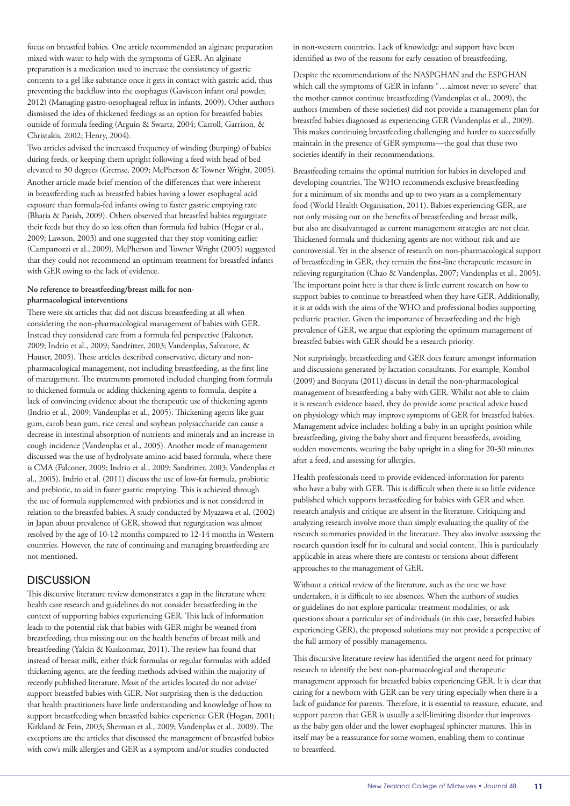focus on breastfed babies. One article recommended an alginate preparation mixed with water to help with the symptoms of GER. An alginate preparation is a medication used to increase the consistency of gastric contents to a gel like substance once it gets in contact with gastric acid, thus preventing the backflow into the esophagus (Gaviscon infant oral powder, 2012) (Managing gastro-oesophageal reflux in infants, 2009). Other authors dismissed the idea of thickened feedings as an option for breastfed babies outside of formula feeding (Arguin & Swartz, 2004; Carroll, Garrison, & Christakis, 2002; Henry, 2004).

Two articles advised the increased frequency of winding (burping) of babies during feeds, or keeping them upright following a feed with head of bed elevated to 30 degrees (Gremse, 2009; McPherson & Towner Wright, 2005). Another article made brief mention of the differences that were inherent in breastfeeding such as breastfed babies having a lower esophageal acid exposure than formula-fed infants owing to faster gastric emptying rate (Bhatia & Parish, 2009). Others observed that breastfed babies regurgitate their feeds but they do so less often than formula fed babies (Hegar et al., 2009; Lawson, 2003) and one suggested that they stop vomiting earlier (Campanozzi et al., 2009). McPherson and Towner Wright (2005) suggested that they could not recommend an optimum treatment for breastfed infants with GER owing to the lack of evidence.

#### **No reference to breastfeeding/breast milk for nonpharmacological interventions**

There were six articles that did not discuss breastfeeding at all when considering the non-pharmacological management of babies with GER. Instead they considered care from a formula fed perspective (Falconer, 2009; Indrio et al., 2009; Sandritter, 2003; Vandenplas, Salvatore, & Hauser, 2005). These articles described conservative, dietary and nonpharmacological management, not including breastfeeding, as the first line of management. The treatments promoted included changing from formula to thickened formula or adding thickening agents to formula, despite a lack of convincing evidence about the therapeutic use of thickening agents (Indrio et al., 2009; Vandenplas et al., 2005). Thickening agents like guar gum, carob bean gum, rice cereal and soybean polysaccharide can cause a decrease in intestinal absorption of nutrients and minerals and an increase in cough incidence (Vandenplas et al., 2005). Another mode of management discussed was the use of hydrolysate amino-acid based formula, where there is CMA (Falconer, 2009; Indrio et al., 2009; Sandritter, 2003; Vandenplas et al., 2005). Indrio et al. (2011) discuss the use of low-fat formula, probiotic and prebiotic, to aid in faster gastric emptying. This is achieved through the use of formula supplemented with prebiotics and is not considered in relation to the breastfed babies. A study conducted by Myazawa et al. (2002) in Japan about prevalence of GER, showed that regurgitation was almost resolved by the age of 10-12 months compared to 12-14 months in Western countries. However, the rate of continuing and managing breastfeeding are not mentioned.

## **DISCUSSION**

This discursive literature review demonstrates a gap in the literature where health care research and guidelines do not consider breastfeeding in the context of supporting babies experiencing GER. This lack of information leads to the potential risk that babies with GER might be weaned from breastfeeding, thus missing out on the health benefits of breast milk and breastfeeding (Yalcin & Kuskonmaz, 2011). The review has found that instead of breast milk, either thick formulas or regular formulas with added thickening agents, are the feeding methods advised within the majority of recently published literature. Most of the articles located do not advise/ support breastfed babies with GER. Not surprising then is the deduction that health practitioners have little understanding and knowledge of how to support breastfeeding when breastfed babies experience GER (Hogan, 2001; Kirkland & Fein, 2003; Sherman et al., 2009; Vandenplas et al., 2009). The exceptions are the articles that discussed the management of breastfed babies with cow's milk allergies and GER as a symptom and/or studies conducted

in non-western countries. Lack of knowledge and support have been identified as two of the reasons for early cessation of breastfeeding.

Despite the recommendations of the NASPGHAN and the ESPGHAN which call the symptoms of GER in infants "…almost never so severe" that the mother cannot continue breastfeeding (Vandenplas et al., 2009), the authors (members of these societies) did not provide a management plan for breastfed babies diagnosed as experiencing GER (Vandenplas et al., 2009). This makes continuing breastfeeding challenging and harder to successfully maintain in the presence of GER symptoms—the goal that these two societies identify in their recommendations.

Breastfeeding remains the optimal nutrition for babies in developed and developing countries. The WHO recommends exclusive breastfeeding for a minimum of six months and up to two years as a complementary food (World Health Organisation, 2011). Babies experiencing GER, are not only missing out on the benefits of breastfeeding and breast milk, but also are disadvantaged as current management strategies are not clear. Thickened formula and thickening agents are not without risk and are controversial. Yet in the absence of research on non-pharmacological support of breastfeeding in GER, they remain the first-line therapeutic measure in relieving regurgitation (Chao & Vandenplas, 2007; Vandenplas et al., 2005). The important point here is that there is little current research on how to support babies to continue to breastfeed when they have GER. Additionally, it is at odds with the aims of the WHO and professional bodies supporting pediatric practice. Given the importance of breastfeeding and the high prevalence of GER, we argue that exploring the optimum management of breastfed babies with GER should be a research priority.

Not surprisingly, breastfeeding and GER does feature amongst information and discussions generated by lactation consultants. For example, Kombol (2009) and Bonyata (2011) discuss in detail the non-pharmacological management of breastfeeding a baby with GER. Whilst not able to claim it is research evidence based, they do provide some practical advice based on physiology which may improve symptoms of GER for breastfed babies. Management advice includes: holding a baby in an upright position while breastfeeding, giving the baby short and frequent breastfeeds, avoiding sudden movements, wearing the baby upright in a sling for 20-30 minutes after a feed, and assessing for allergies.

Health professionals need to provide evidenced-information for parents who have a baby with GER. This is difficult when there is so little evidence published which supports breastfeeding for babies with GER and when research analysis and critique are absent in the literature. Critiquing and analyzing research involve more than simply evaluating the quality of the research summaries provided in the literature. They also involve assessing the research question itself for its cultural and social content. This is particularly applicable in areas where there are contests or tensions about different approaches to the management of GER.

Without a critical review of the literature, such as the one we have undertaken, it is difficult to see absences. When the authors of studies or guidelines do not explore particular treatment modalities, or ask questions about a particular set of individuals (in this case, breastfed babies experiencing GER), the proposed solutions may not provide a perspective of the full armory of possibly managements.

This discursive literature review has identified the urgent need for primary research to identify the best non-pharmacological and therapeutic management approach for breastfed babies experiencing GER. It is clear that caring for a newborn with GER can be very tiring especially when there is a lack of guidance for parents. Therefore, it is essential to reassure, educate, and support parents that GER is usually a self-limiting disorder that improves as the baby gets older and the lower esophageal sphincter matures. This in itself may be a reassurance for some women, enabling them to continue to breastfeed.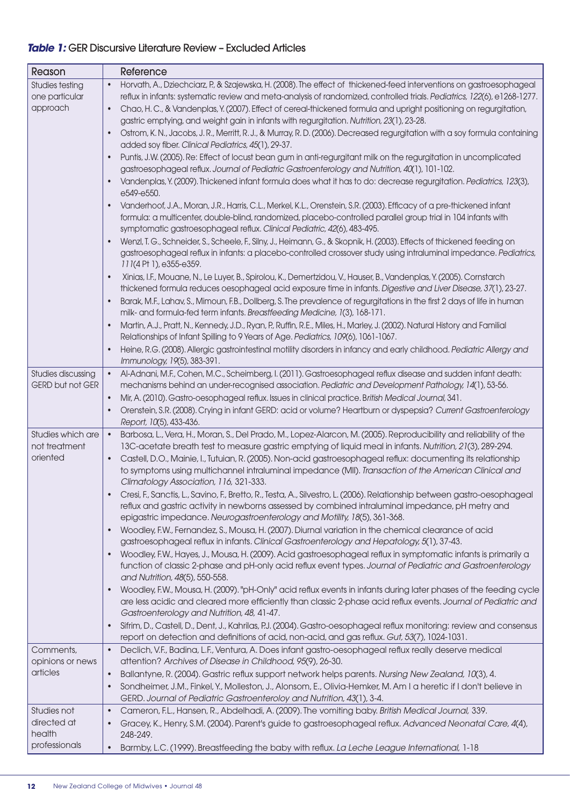## *Table 1:* GER Discursive Literature Review – Excluded Articles

| Reason                                               | Reference                                                                                                                                                                                                                                                                                                                                                                                                                                                                       |
|------------------------------------------------------|---------------------------------------------------------------------------------------------------------------------------------------------------------------------------------------------------------------------------------------------------------------------------------------------------------------------------------------------------------------------------------------------------------------------------------------------------------------------------------|
| <b>Studies testing</b><br>one particular<br>approach | Horvath, A., Dziechciarz, P., & Szajewska, H. (2008). The effect of thickened-feed interventions on gastroesophageal<br>reflux in infants: systematic review and meta-analysis of randomized, controlled trials. Pediatrics, 122(6), e1268-1277.<br>Chao, H.C., & Vandenplas, Y. (2007). Effect of cereal-thickened formula and upright positioning on regurgitation,<br>$\bullet$<br>gastric emptying, and weight gain in infants with regurgitation. Nutrition, 23(1), 23-28. |
|                                                      | Ostrom, K. N., Jacobs, J. R., Merritt, R. J., & Murray, R. D. (2006). Decreased regurgitation with a soy formula containing<br>$\bullet$<br>added soy fiber. Clinical Pediatrics, 45(1), 29-37.                                                                                                                                                                                                                                                                                 |
|                                                      | Puntis, J.W. (2005). Re: Effect of locust bean gum in anti-regurgitant milk on the regurgitation in uncomplicated<br>gastroesophageal reflux. Journal of Pediatric Gastroenterology and Nutrition, 40(1), 101-102.<br>Vandenplas, Y. (2009). Thickened infant formula does what it has to do: decrease regurgitation. Pediatrics, 123(3),                                                                                                                                       |
|                                                      | e549-e550.<br>Vanderhoof, J.A., Moran, J.R., Harris, C.L., Merkel, K.L., Orenstein, S.R. (2003). Efficacy of a pre-thickened infant                                                                                                                                                                                                                                                                                                                                             |
|                                                      | formula: a multicenter, double-blind, randomized, placebo-controlled parallel group trial in 104 infants with<br>symptomatic gastroesophageal reflux. Clinical Pediatric, 42(6), 483-495.                                                                                                                                                                                                                                                                                       |
|                                                      | Wenzl, T. G., Schneider, S., Scheele, F., Silny, J., Heimann, G., & Skopnik, H. (2003). Effects of thickened feeding on<br>gastroesophageal reflux in infants: a placebo-controlled crossover study using intraluminal impedance. Pediatrics,<br>111(4 Pt 1), e355-e359.                                                                                                                                                                                                        |
|                                                      | Xinias, I.F., Mouane, N., Le Luyer, B., Spirolou, K., Demertzidou, V., Hauser, B., Vandenplas, Y. (2005). Cornstarch<br>$\bullet$<br>thickened formula reduces oesophageal acid exposure time in infants. Digestive and Liver Disease, 37(1), 23-27.                                                                                                                                                                                                                            |
|                                                      | Barak, M.F., Lahav, S., Mimoun, F.B., Dollberg, S. The prevalence of regurgitations in the first 2 days of life in human<br>$\bullet$<br>milk- and formula-fed term infants. Breastfeeding Medicine, 1(3), 168-171.                                                                                                                                                                                                                                                             |
|                                                      | Martin, A.J., Pratt, N., Kennedy, J.D., Ryan, P., Ruffin, R.E., Miles, H., Marley, J. (2002). Natural History and Familial<br>Relationships of Infant Spilling to 9 Years of Age. Pediatrics, 109(6), 1061-1067.                                                                                                                                                                                                                                                                |
|                                                      | Heine, R.G. (2008). Allergic gastrointestinal motility disorders in infancy and early childhood. Pediatric Allergy and<br>Immunology, 19(5), 383-391.                                                                                                                                                                                                                                                                                                                           |
| Studies discussing<br><b>GERD but not GER</b>        | Al-Adnani, M.F., Cohen, M.C., Scheimberg, I. (2011). Gastroesophageal reflux disease and sudden infant death:<br>$\bullet$<br>mechanisms behind an under-recognised association. Pediatric and Development Pathology, 14(1), 53-56.<br>Mir, A. (2010). Gastro-oesophageal reflux. Issues in clinical practice. British Medical Journal, 341.<br>$\bullet$                                                                                                                       |
|                                                      | Orenstein, S.R. (2008). Crying in infant GERD: acid or volume? Heartburn or dyspepsia? Current Gastroenterology<br>$\bullet$<br>Report, 10(5), 433-436.                                                                                                                                                                                                                                                                                                                         |
| Studies which are<br>not treatment                   | Barbosa, L., Vera, H., Moran, S., Del Prado, M., Lopez-Alarcon, M. (2005). Reproducibility and reliability of the<br>$\bullet$<br>13C-acetate breath test to measure gastric emptying of liquid meal in infants. Nutrition, 21(3), 289-294.                                                                                                                                                                                                                                     |
| oriented                                             | Castell, D.O., Mainie, I., Tutuian, R. (2005). Non-acid gastroesophageal reflux: documenting its relationship<br>$\bullet$<br>to symptoms using multichannel intraluminal impedance (MII). Transaction of the American Clinical and<br>Climatology Association, 116, 321-333.                                                                                                                                                                                                   |
|                                                      | Cresi, F., Sanctis, L., Savino, F., Bretto, R., Testa, A., Silvestro, L. (2006). Relationship between gastro-oesophageal<br>reflux and gastric activity in newborns assessed by combined intraluminal impedance, pH metry and<br>epigastric impedance. Neurogastroenterology and Motility, 18(5), 361-368.                                                                                                                                                                      |
|                                                      | Woodley, F.W., Fernandez, S., Mousa, H. (2007). Diurnal variation in the chemical clearance of acid<br>$\bullet$<br>gastroesophageal reflux in infants. Clinical Gastroenterology and Hepatology, 5(1), 37-43.                                                                                                                                                                                                                                                                  |
|                                                      | Woodley, F.W., Hayes, J., Mousa, H. (2009). Acid gastroesophageal reflux in symptomatic infants is primarily a<br>$\bullet$<br>function of classic 2-phase and pH-only acid reflux event types. Journal of Pediatric and Gastroenterology<br>and Nutrition, 48(5), 550-558.                                                                                                                                                                                                     |
|                                                      | Woodley, F.W., Mousa, H. (2009). "pH-Only" acid reflux events in infants during later phases of the feeding cycle<br>are less acidic and cleared more efficiently than classic 2-phase acid reflux events. Journal of Pediatric and<br>Gastroenterology and Nutrition, 48, 41-47.                                                                                                                                                                                               |
|                                                      | Sifrim, D., Castell, D., Dent, J., Kahrilas, P.J. (2004). Gastro-oesophageal reflux monitoring: review and consensus<br>report on detection and definitions of acid, non-acid, and gas reflux. Gut, 53(7), 1024-1031.                                                                                                                                                                                                                                                           |
| Comments,<br>opinions or news                        | Declich, V.F., Badina, L.F., Ventura, A. Does infant gastro-oesophageal reflux really deserve medical<br>$\bullet$<br>attention? Archives of Disease in Childhood, 95(9), 26-30.                                                                                                                                                                                                                                                                                                |
| articles                                             | Ballantyne, R. (2004). Gastric reflux support network helps parents. Nursing New Zealand, 10(3), 4.<br>$\bullet$                                                                                                                                                                                                                                                                                                                                                                |
|                                                      | Sondheimer, J.M., Finkel, Y., Molleston, J., Alonsom, E., Olivia-Hemker, M. Am I a heretic if I don't believe in<br>GERD. Journal of Pediatric Gastroenteroloy and Nutrition, 43(1), 3-4.                                                                                                                                                                                                                                                                                       |
| Studies not                                          | Cameron, F.L., Hansen, R., Abdelhadi, A. (2009). The vomiting baby. British Medical Journal, 339.<br>$\bullet$                                                                                                                                                                                                                                                                                                                                                                  |
| directed at<br>health                                | Gracey, K., Henry, S.M. (2004). Parent's guide to gastroesophageal reflux. Advanced Neonatal Care, 4(4),<br>248-249.                                                                                                                                                                                                                                                                                                                                                            |
| professionals                                        | Barmby, L.C. (1999). Breastfeeding the baby with reflux. La Leche League International, 1-18<br>$\bullet$                                                                                                                                                                                                                                                                                                                                                                       |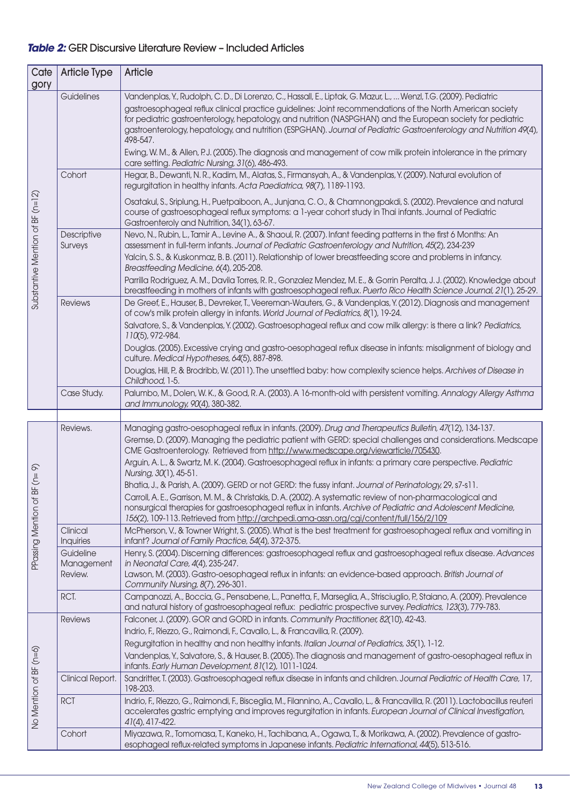## *Table 2:* GER Discursive Literature Review – Included Articles

| Cate<br>gory                     | <b>Article Type</b>     | Article                                                                                                                                                                                                                                                                                                                                                                                                                                                                                                                                                                                                                                               |
|----------------------------------|-------------------------|-------------------------------------------------------------------------------------------------------------------------------------------------------------------------------------------------------------------------------------------------------------------------------------------------------------------------------------------------------------------------------------------------------------------------------------------------------------------------------------------------------------------------------------------------------------------------------------------------------------------------------------------------------|
| Substantive Mention of BF (n=12) | Guidelines              | Vandenplas, Y., Rudolph, C. D., Di Lorenzo, C., Hassall, E., Liptak, G. Mazur, L.,  Wenzl, T.G. (2009). Pediatric<br>gastroesophageal reflux clinical practice guidelines: Joint recommendations of the North American society<br>for pediatric gastroenterology, hepatology, and nutrition (NASPGHAN) and the European society for pediatric<br>gastroenterology, hepatology, and nutrition (ESPGHAN). Journal of Pediatric Gastroenterology and Nutrition 49(4),<br>498-547.<br>Ewing, W. M., & Allen, P.J. (2005). The diagnosis and management of cow milk protein intolerance in the primary<br>care setting. Pediatric Nursing, 31(6), 486-493. |
|                                  | Cohort                  | Hegar, B., Dewanti, N.R., Kadim, M., Alatas, S., Firmansyah, A., & Vandenplas, Y. (2009). Natural evolution of<br>regurgitation in healthy infants. Acta Paediatrica, 98(7), 1189-1193.                                                                                                                                                                                                                                                                                                                                                                                                                                                               |
|                                  |                         | Osatakul, S., Sriplung, H., Puetpaiboon, A., Junjana, C.O., & Chamnongpakdi, S. (2002). Prevalence and natural<br>course of gastroesophageal reflux symptoms: a 1-year cohort study in Thai infants. Journal of Pediatric<br>Gastroenteroly and Nutrition, 34(1), 63-67.                                                                                                                                                                                                                                                                                                                                                                              |
|                                  | Descriptive<br>Surveys  | Nevo, N., Rubin, L., Tamir A., Levine A., & Shaoul, R. (2007). Infant feeding patterns in the first 6 Months: An<br>assessment in full-term infants. Journal of Pediatric Gastroenterology and Nutrition, 45(2), 234-239<br>Yalcin, S.S., & Kuskonmaz, B.B. (2011). Relationship of lower breastfeeding score and problems in infancy.<br>Breastfeeding Medicine, 6(4), 205-208.<br>Parrilla Rodriguez, A. M., Davila Torres, R. R., Gonzalez Mendez, M. E., & Gorrin Peralta, J. J. (2002). Knowledge about                                                                                                                                          |
|                                  |                         | breastfeeding in mothers of infants with gastroesophageal reflux. Puerto Rico Health Science Journal, 21(1), 25-29.                                                                                                                                                                                                                                                                                                                                                                                                                                                                                                                                   |
|                                  | <b>Reviews</b>          | De Greef, E., Hauser, B., Devreker, T., Veereman-Wauters, G., & Vandenplas, Y. (2012). Diagnosis and management<br>of cow's milk protein allergy in infants. World Journal of Pediatrics, 8(1), 19-24.                                                                                                                                                                                                                                                                                                                                                                                                                                                |
|                                  |                         | Salvatore, S., & Vandenplas, Y. (2002). Gastroesophageal reflux and cow milk allergy: is there a link? Pediatrics,<br>110(5), 972-984.                                                                                                                                                                                                                                                                                                                                                                                                                                                                                                                |
|                                  |                         | Douglas. (2005). Excessive crying and gastro-oesophageal reflux disease in infants: misalignment of biology and<br>culture. Medical Hypotheses, 64(5), 887-898.                                                                                                                                                                                                                                                                                                                                                                                                                                                                                       |
|                                  |                         | Douglas, Hill, P., & Brodribb, W. (2011). The unsettled baby: how complexity science helps. Archives of Disease in<br>Childhood, 1-5.                                                                                                                                                                                                                                                                                                                                                                                                                                                                                                                 |
|                                  | Case Study.             | Palumbo, M., Dolen, W.K., & Good, R.A. (2003). A 16-month-old with persistent vomiting. Annalogy Allergy Asthma<br>and Immunology, 90(4), 380-382.                                                                                                                                                                                                                                                                                                                                                                                                                                                                                                    |
|                                  |                         |                                                                                                                                                                                                                                                                                                                                                                                                                                                                                                                                                                                                                                                       |
|                                  | Reviews.                | Managing gastro-oesophageal reflux in infants. (2009). Drug and Therapeutics Bulletin, 47(12), 134-137.<br>Gremse, D. (2009). Managing the pediatric patient with GERD: special challenges and considerations. Medscape<br>CME Gastroenterology. Retrieved from http://www.medscape.org/viewarticle/705430.                                                                                                                                                                                                                                                                                                                                           |
|                                  |                         | Arguin, A. L., & Swartz, M. K. (2004). Gastroesophageal reflux in infants: a primary care perspective. Pediatric<br>Nursing, 30(1), 45-51.                                                                                                                                                                                                                                                                                                                                                                                                                                                                                                            |
| $BF(n=9)$                        |                         | Bhatia, J., & Parish, A. (2009). GERD or not GERD: the fussy infant. Journal of Perinatology, 29, s7-s11.                                                                                                                                                                                                                                                                                                                                                                                                                                                                                                                                             |
| PPassing Mention of              |                         | Carroll, A. E., Garrison, M. M., & Christakis, D. A. (2002). A systematic review of non-pharmacological and<br>nonsurgical therapies for gastroesophageal reflux in infants. Archive of Pediatric and Adolescent Medicine,                                                                                                                                                                                                                                                                                                                                                                                                                            |
|                                  | Clinical                | 156(2), 109-113. Retrieved from http://archpedi.ama-assn.org/cgi/content/full/156/2/109<br>McPherson, V., & Towner Wright, S. (2005). What is the best treatment for gastroesophageal reflux and vomiting in                                                                                                                                                                                                                                                                                                                                                                                                                                          |
|                                  | <b>Inquiries</b>        | infant? Journal of Family Practice, 54(4), 372-375.                                                                                                                                                                                                                                                                                                                                                                                                                                                                                                                                                                                                   |
|                                  | Guideline<br>Management | Henry, S. (2004). Discerning differences: gastroesophageal reflux and gastroesophageal reflux disease. Advances<br>in Neonatal Care, 4(4), 235-247.                                                                                                                                                                                                                                                                                                                                                                                                                                                                                                   |
|                                  | Review.                 | Lawson, M. (2003). Gastro-oesophageal reflux in infants: an evidence-based approach. British Journal of<br>Community Nursing, 8(7), 296-301.                                                                                                                                                                                                                                                                                                                                                                                                                                                                                                          |
|                                  | RCT.                    | Campanozzi, A., Boccia, G., Pensabene, L., Panetta, F., Marseglia, A., Strisciuglio, P., Staiano, A. (2009). Prevalence<br>and natural history of gastroesophageal reflux: pediatric prospective survey. Pediatrics, 123(3), 779-783.                                                                                                                                                                                                                                                                                                                                                                                                                 |
| No Mention of BF (n=6)           | <b>Reviews</b>          | Falconer, J. (2009). GOR and GORD in infants. Community Practitioner, 82(10), 42-43.                                                                                                                                                                                                                                                                                                                                                                                                                                                                                                                                                                  |
|                                  |                         | Indrio, F., Riezzo, G., Raimondi, F., Cavallo, L., & Francavilla, R. (2009).                                                                                                                                                                                                                                                                                                                                                                                                                                                                                                                                                                          |
|                                  |                         | Regurgitation in healthy and non healthy infants. Italian Journal of Pediatrics, 35(1), 1-12.<br>Vandenplas, Y., Salvatore, S., & Hauser, B. (2005). The diagnosis and management of gastro-oesophageal reflux in<br>infants. Early Human Development, 81(12), 1011-1024.                                                                                                                                                                                                                                                                                                                                                                             |
|                                  | Clinical Report.        | Sandritter, T. (2003). Gastroesophageal reflux disease in infants and children. Journal Pediatric of Health Care, 17,<br>198-203.                                                                                                                                                                                                                                                                                                                                                                                                                                                                                                                     |
|                                  | <b>RCT</b>              | Indrio, F., Riezzo, G., Raimondi, F., Bisceglia, M., Filannino, A., Cavallo, L., & Francavilla, R. (2011). Lactobacillus reuteri<br>accelerates gastric emptying and improves regurgitation in infants. European Journal of Clinical Investigation,<br>41(4), 417-422.                                                                                                                                                                                                                                                                                                                                                                                |
|                                  | Cohort                  | Miyazawa, R., Tomomasa, T., Kaneko, H., Tachibana, A., Ogawa, T., & Morikawa, A. (2002). Prevalence of gastro-<br>esophageal reflux-related symptoms in Japanese infants. Pediatric International, 44(5), 513-516.                                                                                                                                                                                                                                                                                                                                                                                                                                    |